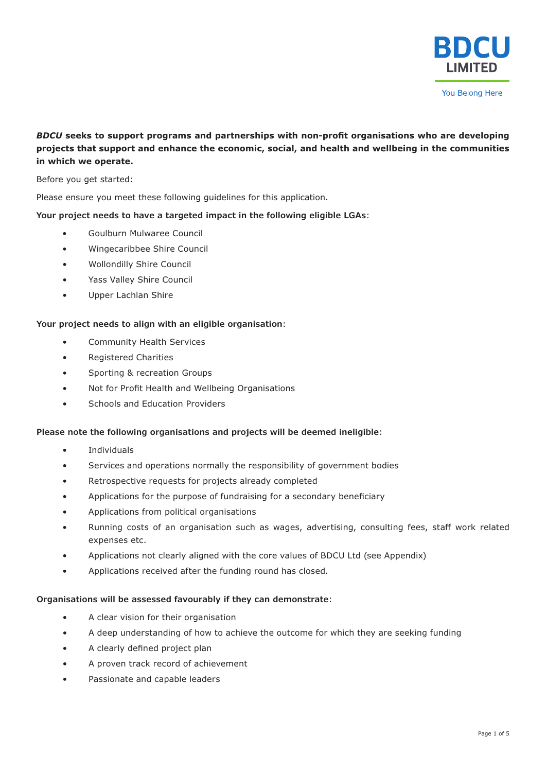

### *BDCU* **seeks to support programs and partnerships with non-profit organisations who are developing projects that support and enhance the economic, social, and health and wellbeing in the communities in which we operate.**

Before you get started:

Please ensure you meet these following guidelines for this application.

**Your project needs to have a targeted impact in the following eligible LGAs**:

- Goulburn Mulwaree Council
- Wingecaribbee Shire Council
- Wollondilly Shire Council
- Yass Valley Shire Council
- Upper Lachlan Shire

### **Your project needs to align with an eligible organisation**:

- Community Health Services
- Registered Charities
- Sporting & recreation Groups
- Not for Profit Health and Wellbeing Organisations
- Schools and Education Providers

### **Please note the following organisations and projects will be deemed ineligible**:

- **Individuals**
- Services and operations normally the responsibility of government bodies
- Retrospective requests for projects already completed
- Applications for the purpose of fundraising for a secondary beneficiary
- Applications from political organisations
- Running costs of an organisation such as wages, advertising, consulting fees, staff work related expenses etc.
- Applications not clearly aligned with the core values of BDCU Ltd (see Appendix)
- Applications received after the funding round has closed.

### **Organisations will be assessed favourably if they can demonstrate**:

- A clear vision for their organisation
- A deep understanding of how to achieve the outcome for which they are seeking funding
- A clearly defined project plan
- A proven track record of achievement
- Passionate and capable leaders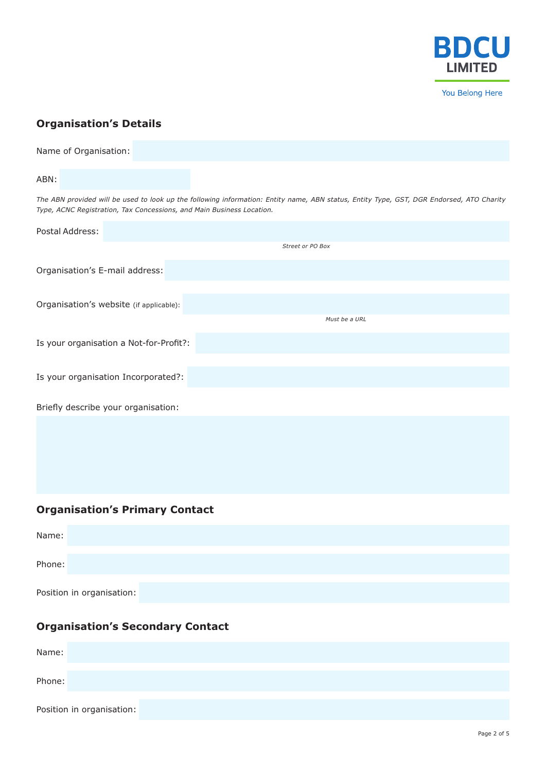

# **Organisation's Details**

| Name of Organisation:                                                                                                                                                                                             |
|-------------------------------------------------------------------------------------------------------------------------------------------------------------------------------------------------------------------|
| ABN:                                                                                                                                                                                                              |
| The ABN provided will be used to look up the following information: Entity name, ABN status, Entity Type, GST, DGR Endorsed, ATO Charity<br>Type, ACNC Registration, Tax Concessions, and Main Business Location. |
| Postal Address:                                                                                                                                                                                                   |
| Street or PO Box                                                                                                                                                                                                  |
| Organisation's E-mail address:                                                                                                                                                                                    |
| Organisation's website (if applicable):                                                                                                                                                                           |
| Must be a URL                                                                                                                                                                                                     |
| Is your organisation a Not-for-Profit?:                                                                                                                                                                           |
| Is your organisation Incorporated?:                                                                                                                                                                               |
| Briefly describe your organisation:                                                                                                                                                                               |
|                                                                                                                                                                                                                   |

# **Organisation's Primary Contact**

| Name:                     |  |  |  |
|---------------------------|--|--|--|
|                           |  |  |  |
| Phone:                    |  |  |  |
|                           |  |  |  |
|                           |  |  |  |
| Position in organisation: |  |  |  |

## **Organisation's Secondary Contact**

| Name:  |                           |  |  |  |
|--------|---------------------------|--|--|--|
|        |                           |  |  |  |
| Phone: |                           |  |  |  |
|        |                           |  |  |  |
|        | Position in organisation: |  |  |  |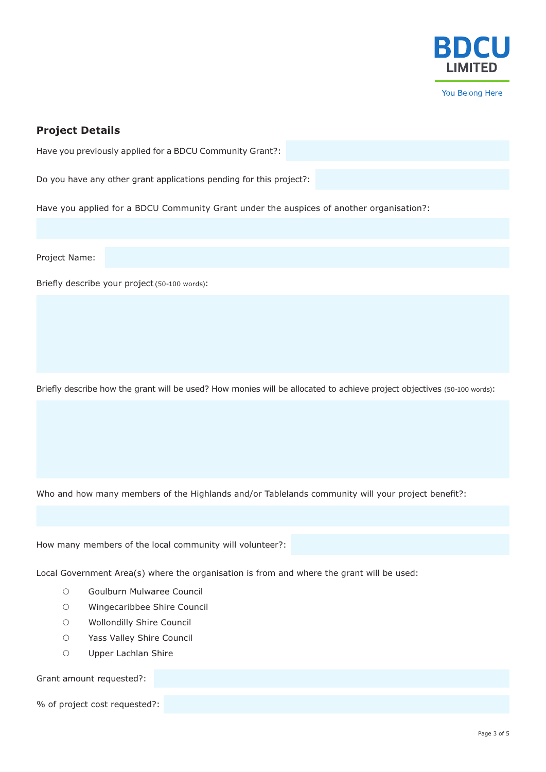

### **Project Details**

Have you previously applied for a BDCU Community Grant?:

Do you have any other grant applications pending for this project?:

Have you applied for a BDCU Community Grant under the auspices of another organisation?:

Project Name:

Briefly describe your project (50-100 words):

Briefly describe how the grant will be used? How monies will be allocated to achieve project objectives (50-100 words):

Who and how many members of the Highlands and/or Tablelands community will your project benefit?:

How many members of the local community will volunteer?:

Local Government Area(s) where the organisation is from and where the grant will be used:

- { Goulburn Mulwaree Council
- { Wingecaribbee Shire Council
- { Wollondilly Shire Council
- { Yass Valley Shire Council
- { Upper Lachlan Shire

Grant amount requested?:

% of project cost requested?: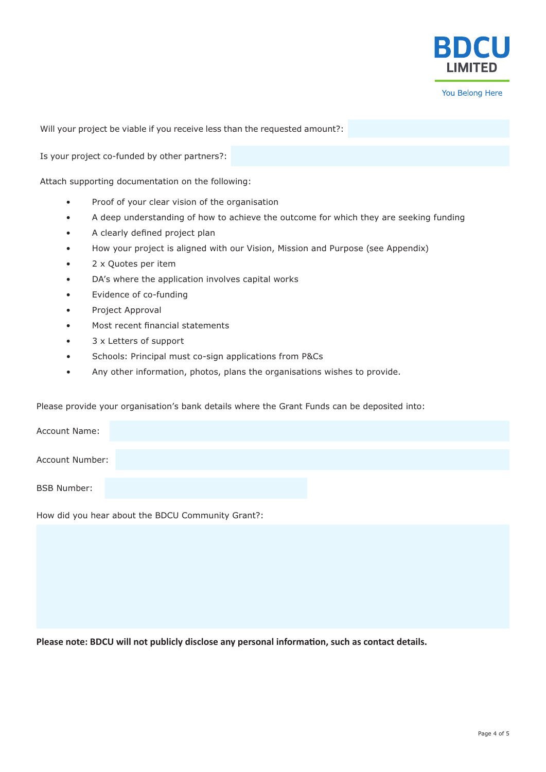

Will your project be viable if you receive less than the requested amount?:

Is your project co-funded by other partners?:

Attach supporting documentation on the following:

- Proof of your clear vision of the organisation
- A deep understanding of how to achieve the outcome for which they are seeking funding
- A clearly defined project plan
- How your project is aligned with our Vision, Mission and Purpose (see Appendix)
- 2 x Quotes per item
- DA's where the application involves capital works
- Evidence of co-funding
- Project Approval
- Most recent financial statements
- 3 x Letters of support
- Schools: Principal must co-sign applications from P&Cs
- Any other information, photos, plans the organisations wishes to provide.

Please provide your organisation's bank details where the Grant Funds can be deposited into:

| <b>Account Name:</b> |  |  |
|----------------------|--|--|
| Account Number:      |  |  |
| <b>BSB Number:</b>   |  |  |
|                      |  |  |

How did you hear about the BDCU Community Grant?:

**Please note: BDCU will not publicly disclose any personal information, such as contact details.**